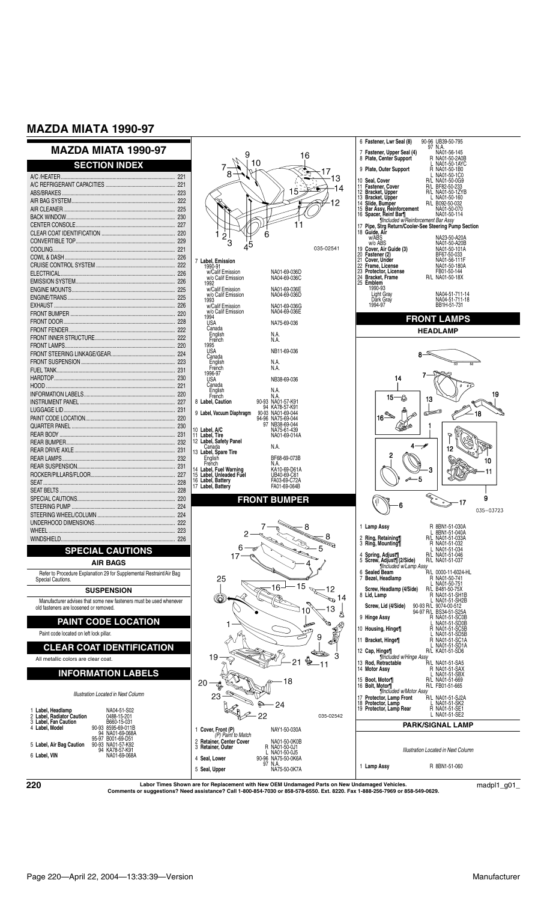# **MAZDA MIATA 1990-97**

|                                                                                                              | <b>SECTION INDEX</b>                                                                                     |  |                      |
|--------------------------------------------------------------------------------------------------------------|----------------------------------------------------------------------------------------------------------|--|----------------------|
|                                                                                                              |                                                                                                          |  |                      |
|                                                                                                              |                                                                                                          |  |                      |
|                                                                                                              |                                                                                                          |  |                      |
|                                                                                                              |                                                                                                          |  |                      |
|                                                                                                              |                                                                                                          |  |                      |
|                                                                                                              |                                                                                                          |  |                      |
|                                                                                                              |                                                                                                          |  |                      |
|                                                                                                              |                                                                                                          |  |                      |
|                                                                                                              |                                                                                                          |  | 7L                   |
|                                                                                                              |                                                                                                          |  |                      |
|                                                                                                              |                                                                                                          |  |                      |
|                                                                                                              |                                                                                                          |  |                      |
|                                                                                                              |                                                                                                          |  |                      |
|                                                                                                              |                                                                                                          |  |                      |
|                                                                                                              |                                                                                                          |  |                      |
|                                                                                                              |                                                                                                          |  |                      |
|                                                                                                              |                                                                                                          |  |                      |
|                                                                                                              |                                                                                                          |  |                      |
|                                                                                                              |                                                                                                          |  |                      |
|                                                                                                              |                                                                                                          |  |                      |
|                                                                                                              |                                                                                                          |  |                      |
|                                                                                                              |                                                                                                          |  |                      |
|                                                                                                              |                                                                                                          |  |                      |
|                                                                                                              |                                                                                                          |  | 8 L                  |
|                                                                                                              |                                                                                                          |  | 9 L                  |
|                                                                                                              |                                                                                                          |  |                      |
|                                                                                                              |                                                                                                          |  | 10 L<br>11 L         |
|                                                                                                              |                                                                                                          |  | 12L                  |
|                                                                                                              |                                                                                                          |  | 13L                  |
|                                                                                                              |                                                                                                          |  |                      |
|                                                                                                              |                                                                                                          |  | 14 L                 |
|                                                                                                              |                                                                                                          |  | 15<br>16<br>17<br>17 |
|                                                                                                              |                                                                                                          |  |                      |
|                                                                                                              |                                                                                                          |  |                      |
|                                                                                                              |                                                                                                          |  |                      |
|                                                                                                              |                                                                                                          |  |                      |
|                                                                                                              |                                                                                                          |  |                      |
|                                                                                                              |                                                                                                          |  |                      |
|                                                                                                              | <b>SPECIAL CAUTIONS</b>                                                                                  |  |                      |
| AIR BAGS                                                                                                     |                                                                                                          |  |                      |
| Refer to Procedure Explanation 29 for Supplemental Restraint/Air Bag<br>Special Cautions.                    |                                                                                                          |  |                      |
| <b>SUSPENSION</b>                                                                                            |                                                                                                          |  |                      |
| Manufacturer advises that some new fasteners must be used whenever<br>old fasteners are loosened or removed. |                                                                                                          |  |                      |
| <b>PAINT CODE LOCATION</b>                                                                                   |                                                                                                          |  |                      |
| Paint code located on left lock pillar.                                                                      |                                                                                                          |  |                      |
| <b>CLEAR COAT IDENTIFICATION</b>                                                                             |                                                                                                          |  |                      |
| All metallic colors are clear coat.                                                                          |                                                                                                          |  |                      |
| <b>INFORMATION LABELS</b>                                                                                    |                                                                                                          |  | 2                    |
| Illustration Located in Next Column                                                                          |                                                                                                          |  |                      |
|                                                                                                              | NA04-51-S02                                                                                              |  |                      |
|                                                                                                              | 1 Label, Headlamp<br>0488-15-201                                                                         |  |                      |
|                                                                                                              | 2 Label, Radiator Caution<br>3 Label, Fan Caution<br>4 Label, Model<br>B660-15-031<br>90-93 8595-69-011B |  | 1 C                  |
|                                                                                                              | 94 NA01-69-068A<br>95-97 B001-69-D51                                                                     |  |                      |
|                                                                                                              | 5 Label, Air Bag Caution<br>90-93 NA01-57-K92<br>94 KA78-57-K91                                          |  | 2 F                  |
|                                                                                                              | 6 Label, VIN<br>NA01-69-068A                                                                             |  |                      |



9

16



1 **Lamp Assy** R 8BN1-51-060

 $\bf 220$  Labor Times Shown are for Replacement with New OEM Undamaged Parts on New Undamaged Vehicles.  $\rm{c}$  madpl1\_g01\_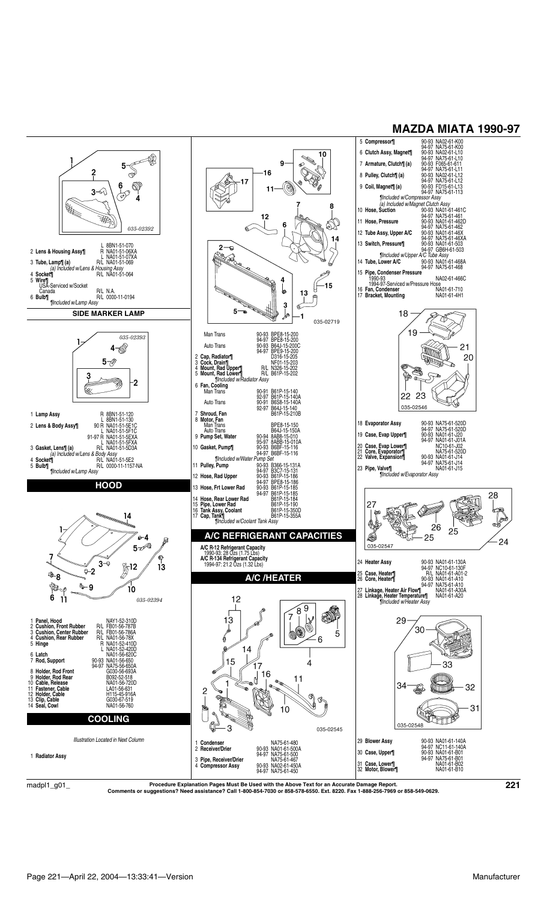

 $\mathrm{madpl1\_g01\_}$  Procedure Explanation Pages Must Be Used with the Above Text for an Accurate Damage Report.<br>Comments or suggestions? Need assistance? Call 1-800-854-7030 or 858-578-6550. Ext. 8220. Fax 1-888-256-7969 or 85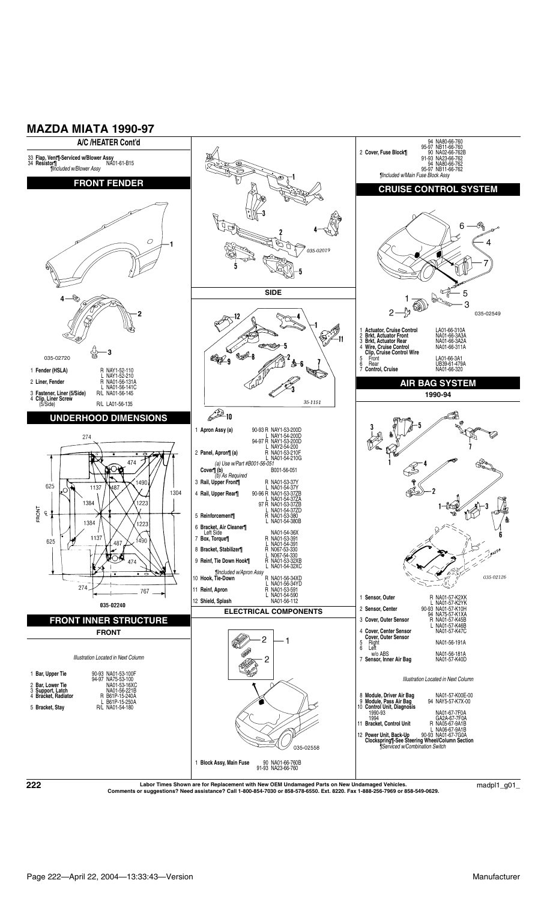



\_001\_/Labor Times Shown are for Replacement with New OEM Undamaged Parts on New Undamaged Vehicles.<br>Comments or suggestions? Need assistance? Call 1-800-854-7030 or 858-578-6550. Ext. 8220. Fax 1-888-256-7969 or 858-549-0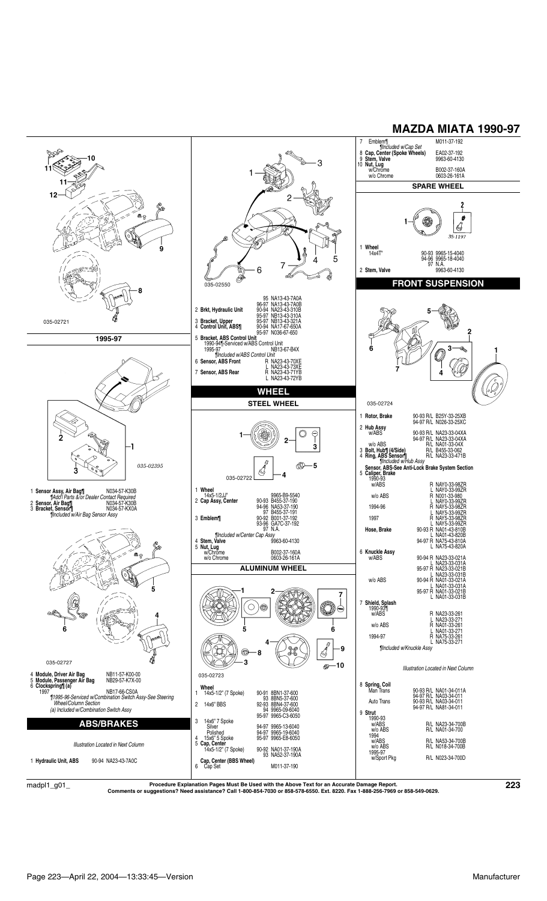

 $\rm{madpl1\_g01\_}$  Procedure Explanation Pages Must Be Used with the Above Text for an Accurate Damage Report.<br>Comments or suggestions? Need assistance? Call 1-800-854-7030 or 858-578-6550. Ext. 8220. Fax 1-888-256-7969 or 85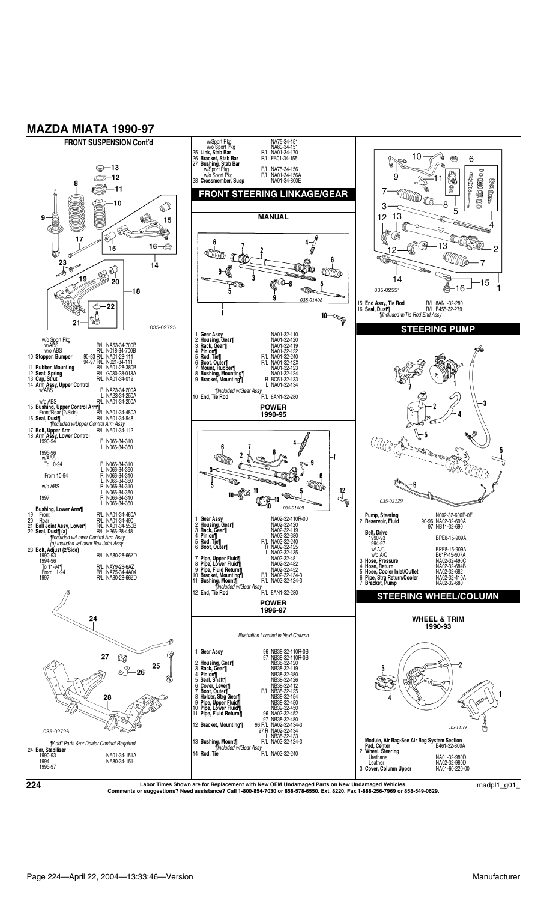

\_001\_/Labor Times Shown are for Replacement with New OEM Undamaged Parts on New Undamaged Vehicles.<br>Comments or suggestions? Need assistance? Call 1-800-854-7030 or 858-578-6550. Ext. 8220. Fax 1-888-256-7969 or 858-549-0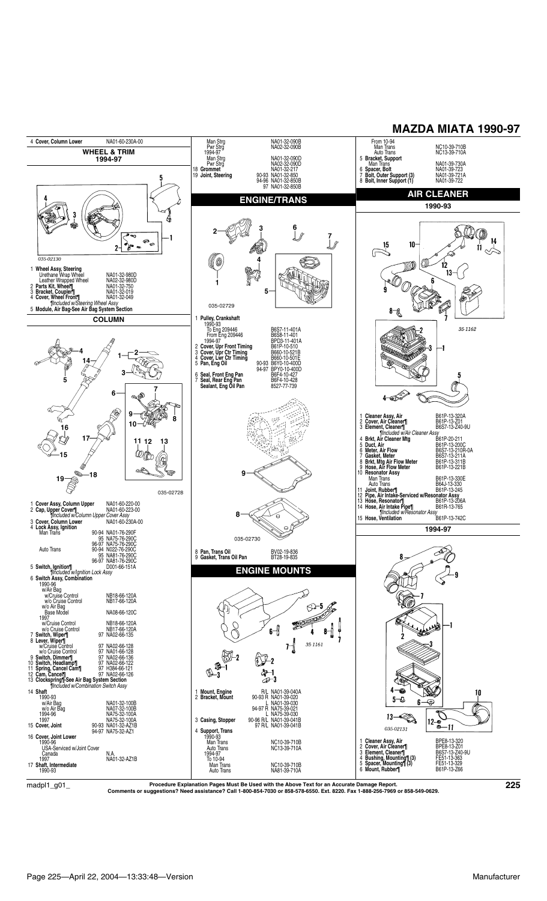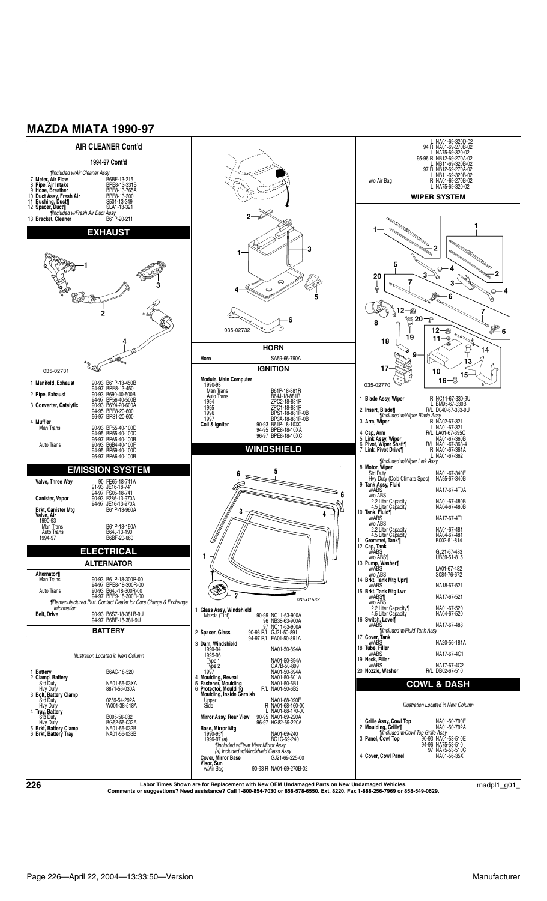

 $\bf 226$   $\bf 226$   $\bf 226$   $\bf 236$   $\bf 247$   $\bf 258$   $\bf 269$   $\bf 279$   $\bf 289$   $\bf 291$   $\bf 2901$   $\bf 291$   $\bf 291$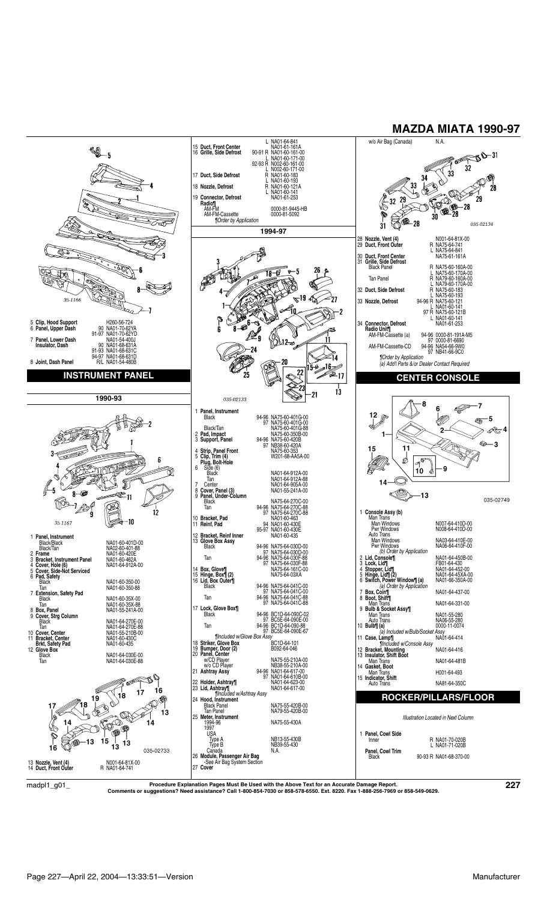

 $\rm{madpl1\_g01\_}$  Procedure Explanation Pages Must Be Used with the Above Text for an Accurate Damage Report.<br>Comments or suggestions? Need assistance? Call 1-800-854-7030 or 858-578-6550. Ext. 8220. Fax 1-888-256-7969 or 85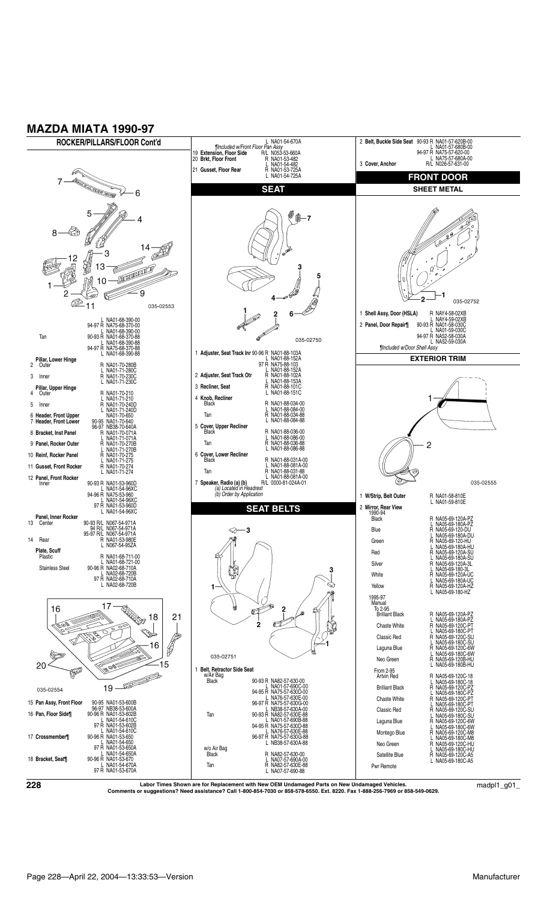

\_001\_/Labor Times Shown are for Replacement with New OEM Undamaged Parts on New Undamaged Vehicles.<br>Comments or suggestions? Need assistance? Call 1-800-854-7030 or 858-578-6550. Ext. 8220. Fax 1-888-256-7969 or 858-549-0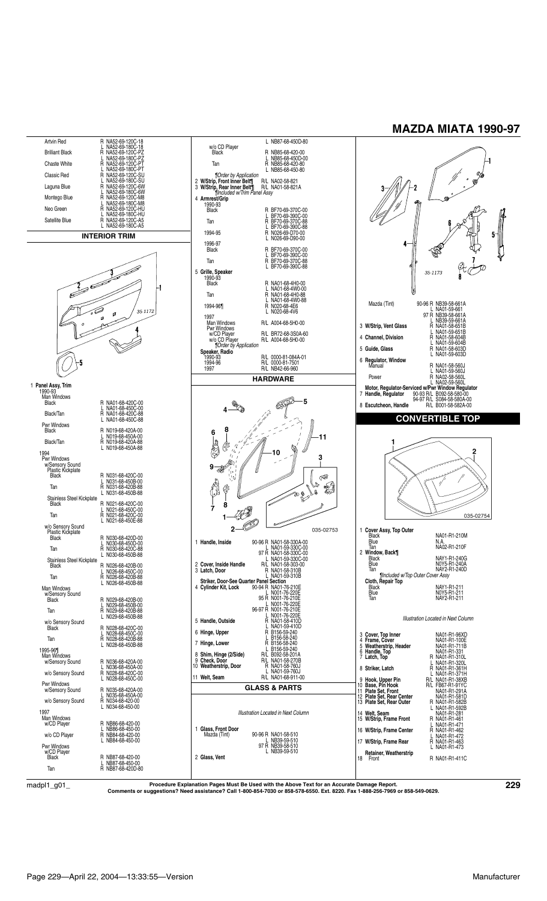

 $\rm{madpl1\_g01\_}$  Procedure Explanation Pages Must Be Used with the Above Text for an Accurate Damage Report.<br>Comments or suggestions? Need assistance? Call 1-800-854-7030 or 858-578-6550. Ext. 8220. Fax 1-888-256-7969 or 85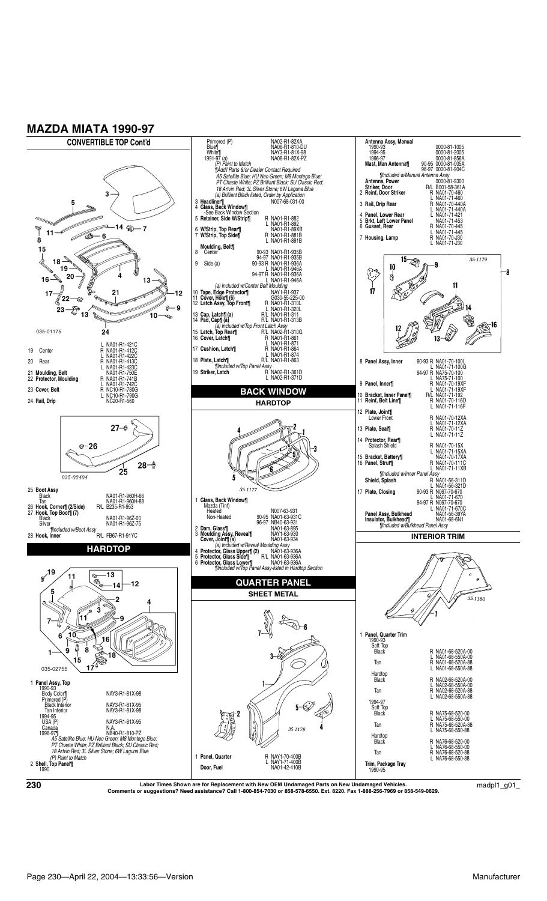

 $\bf 230$   $\bf 230$   $\bf 230$   $\bf 241$   $\bf 259$   $\bf 261$   $\bf 279$   $\bf 280$   $\bf 291$   $\bf 290$   $\bf 291$   $\bf 290$   $\bf 291$   $\bf 290$   $\bf 291$   $\bf 290$   $\bf 291$   $\bf 290$   $\bf 291$   $\bf 290$   $\bf 291$   $\bf 290$   $\bf 291$   $\bf 290$   $\bf 2$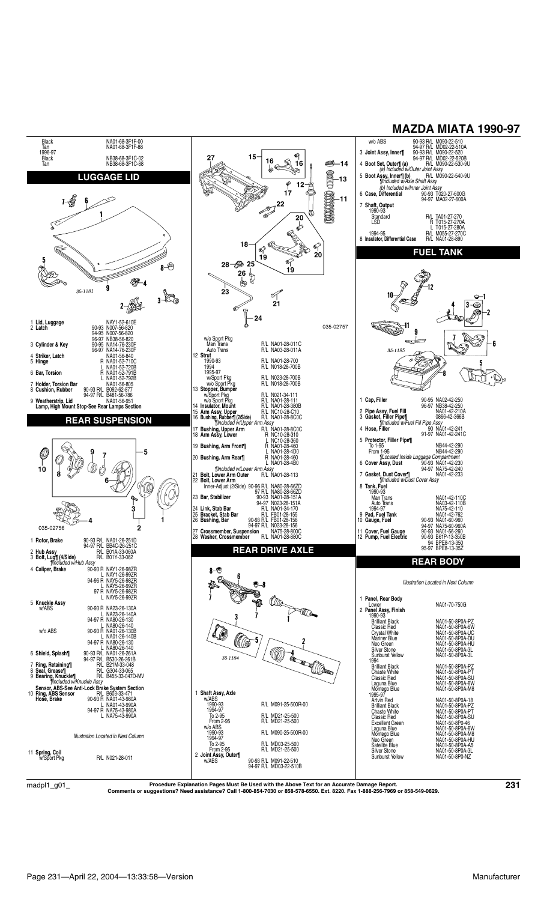

 $\rm{madpl1\_g01\_}$  Procedure Explanation Pages Must Be Used with the Above Text for an Accurate Damage Report.<br>Comments or suggestions? Need assistance? Call 1-800-854-7030 or 858-578-6550. Ext. 8220. Fax 1-888-256-7969 or 85

**MAZDA MIATA 1990-97**